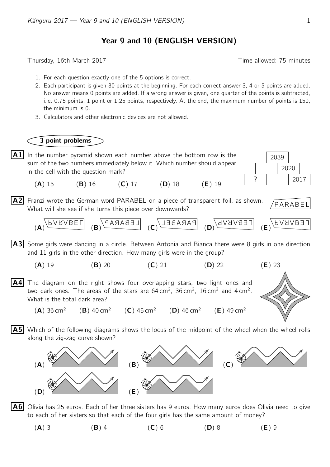## Year 9 and 10 (ENGLISH VERSION)

Thursday, 16th March 2017 **Thursday**, 16th March 2017

2039

- 1. For each question exactly one of the 5 options is correct.
- 2. Each participant is given 30 points at the beginning. For each correct answer 3, 4 or 5 points are added. No answer means 0 points are added. If a wrong answer is given, one quarter of the points is subtracted, i. e. 0.75 points, 1 point or 1.25 points, respectively. At the end, the maximum number of points is 150, the minimum is 0.
- 3. Calculators and other electronic devices are not allowed.

## 3 point problems



**A2** Franzi wrote the German word PARABEL on a piece of transparent foil, as shown.  $\sqrt{PARABEL}$ What will she see if she turns this piece over downwards?

2020



- **A3** Some girls were dancing in a circle. Between Antonia and Bianca there were 8 girls in one direction and 11 girls in the other direction. How many girls were in the group?
	- (A) 19 (B) 20 (C) 21 (D) 22 (E) 23
- $|AA|$  The diagram on the right shows four overlapping stars, two light ones and two dark ones. The areas of the stars are  $64 \text{ cm}^2$ ,  $36 \text{ cm}^2$ ,  $16 \text{ cm}^2$  and  $4 \text{ cm}^2$ . What is the total dark area?
	- $(A)$  36 cm<sup>2</sup> (**B**) 40 cm<sup>2</sup> (**C**) 45 cm<sup>2</sup> (**D**) 46 cm<sup>2</sup> (**E**) 49 cm<sup>2</sup>
- **A5** Which of the following diagrams shows the locus of the midpoint of the wheel when the wheel rolls along the zig-zag curve shown?



 $|{\bf A6}|$  Olivia has 25 euros. Each of her three sisters has 9 euros. How many euros does Olivia need to give to each of her sisters so that each of the four girls has the same amount of money?

(A) 3 (B) 4 (C) 6 (D) 8 (E) 9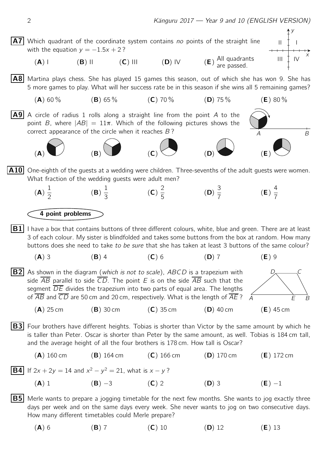

(A) 6 (B) 7 (C) 10 (D) 12 (E) 13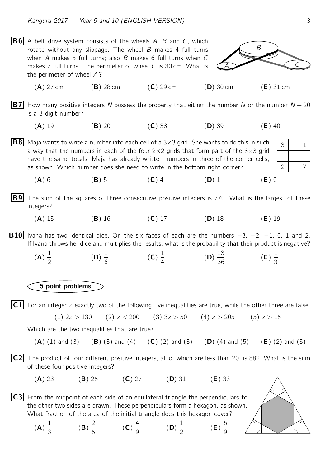A B  $\mathcal{C}_{0}^{(n)}$ **B6** A belt drive system consists of the wheels A, B and C, which rotate without any slippage. The wheel  $B$  makes 4 full turns when A makes 5 full turns; also B makes 6 full turns when C makes  $7$  full turns. The perimeter of wheel  $C$  is 30 cm. What is the perimeter of wheel  $\overline{A}$ ?  $(A)$  27 cm  $(B)$  28 cm  $(C)$  29 cm  $(D)$  30 cm  $(E)$  31 cm **B7** How many positive integers N possess the property that either the number N or the number  $N + 20$ is a 3-digit number? (A) 19 (B) 20 (C) 38 (D) 39 (E) 40 2  $3$  | 1 ? **B8** Maja wants to write a number into each cell of a 3×3 grid. She wants to do this in such a way that the numbers in each of the four  $2\times 2$  grids that form part of the  $3\times 3$  grid have the same totals. Maja has already written numbers in three of the corner cells, as shown. Which number does she need to write in the bottom right corner? (A) 6 (B) 5 (C) 4 (D) 1 (E) 0 **B9** The sum of the squares of three consecutive positive integers is 770. What is the largest of these integers? (A) 15 (B) 16 (C) 17 (D) 18 (E) 19 **B10** Ivana has two identical dice. On the six faces of each are the numbers  $-3$ ,  $-2$ ,  $-1$ , 0, 1 and 2. If Ivana throws her dice and multiplies the results, what is the probability that their product is negative? (A) 1 2 (B) 1 6 (C) 1 4 (D) 13  $\frac{13}{36}$  (**E**) 1 3 5 point problems  $|C1|$  For an integer z exactly two of the following five inequalities are true, while the other three are false. (1)  $2z > 130$  (2)  $z < 200$  (3)  $3z > 50$  (4)  $z > 205$  (5)  $z > 15$ Which are the two inequalities that are true? (A) (1) and (3) (B) (3) and (4) (C) (2) and (3) (D) (4) and (5) (E) (2) and (5)  $|C2|$  The product of four different positive integers, all of which are less than 20, is 882. What is the sum of these four positive integers?  $(A)$  23 (B) 25 (C) 27 (D) 31 (E) 33  $|C3|$  From the midpoint of each side of an equilateral triangle the perpendiculars to the other two sides are drawn. These perpendiculars form a hexagon, as shown. What fraction of the area of the initial triangle does this hexagon cover? (A) 1 3 (B) 2  $\frac{1}{5}$  (C) 4  $\frac{1}{9}$  (D) 1 2 (E) 5 9